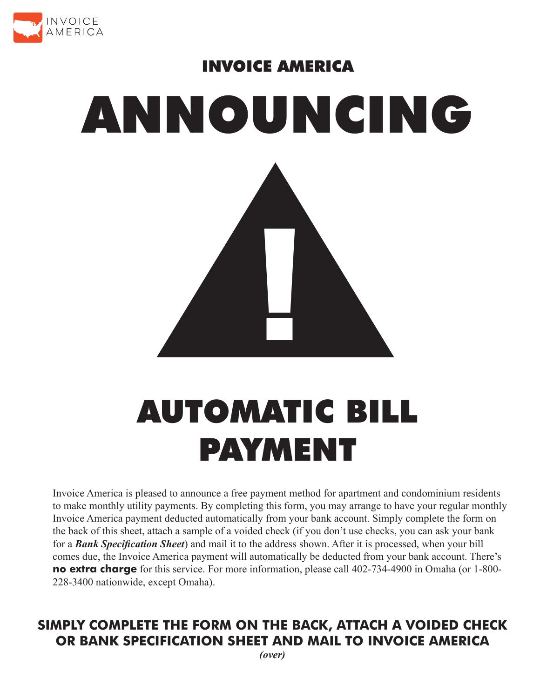

## INVOICE AMERICA ANNOUNCING |<br>|-<br>|

## AUTOMATIC BILL PAYMENT

Invoice America is pleased to announce a free payment method for apartment and condominium residents to make monthly utility payments. By completing this form, you may arrange to have your regular monthly Invoice America payment deducted automatically from your bank account. Simply complete the form on the back of this sheet, attach a sample of a voided check (if you don't use checks, you can ask your bank for a *Bank Specification Sheet*) and mail it to the address shown. After it is processed, when your bill comes due, the Invoice America payment will automatically be deducted from your bank account. There's **no extra charge** for this service. For more information, please call 402-734-4900 in Omaha (or 1-800- 228-3400 nationwide, except Omaha).

## **SIMPLY COMPLETE THE FORM ON THE BACK, ATTACH A VOIDED CHECK OR BANK SPECIFICATION SHEET AND MAIL TO INVOICE AMERICA**

*(over)*